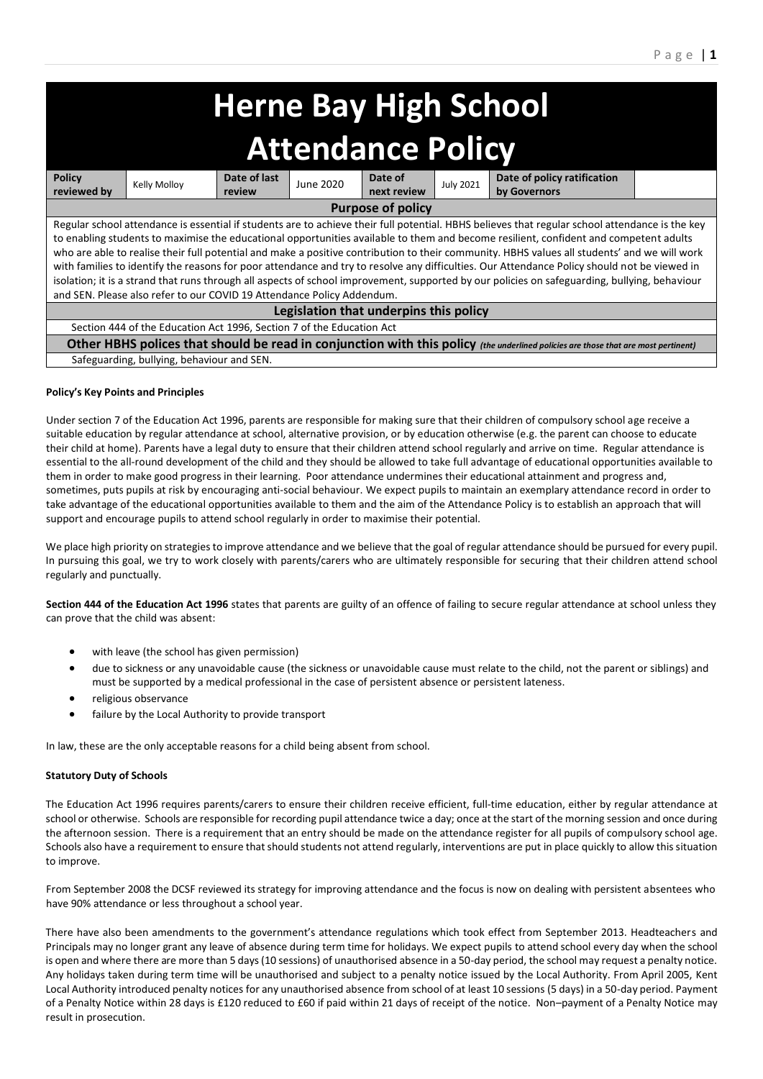# **Herne Bay High School Attendance Policy**

| <b>Policy</b>                                                                                                                                   | Kelly Molloy | Date of last | June 2020 | Date of     | <b>July 2021</b> | Date of policy ratification |  |
|-------------------------------------------------------------------------------------------------------------------------------------------------|--------------|--------------|-----------|-------------|------------------|-----------------------------|--|
| reviewed by                                                                                                                                     |              | review       |           | next review |                  | by Governors                |  |
| <b>Purpose of policy</b>                                                                                                                        |              |              |           |             |                  |                             |  |
| Regular school attendance is essential if students are to achieve their full potential. HBHS believes that regular school attendance is the key |              |              |           |             |                  |                             |  |
| to enabling students to maximise the educational opportunities available to them and become resilient, confident and competent adults           |              |              |           |             |                  |                             |  |
|                                                                                                                                                 |              |              |           |             |                  |                             |  |
| who are able to realise their full potential and make a positive contribution to their community. HBHS values all students' and we will work    |              |              |           |             |                  |                             |  |
| with families to identify the reasons for poor attendance and try to resolve any difficulties. Our Attendance Policy should not be viewed in    |              |              |           |             |                  |                             |  |
| isolation; it is a strand that runs through all aspects of school improvement, supported by our policies on safeguarding, bullying, behaviour   |              |              |           |             |                  |                             |  |
| and SEN. Please also refer to our COVID 19 Attendance Policy Addendum.                                                                          |              |              |           |             |                  |                             |  |
| Legislation that underpins this policy                                                                                                          |              |              |           |             |                  |                             |  |
| Section 444 of the Education Act 1996, Section 7 of the Education Act                                                                           |              |              |           |             |                  |                             |  |
| Other HBHS polices that should be read in conjunction with this policy (the underlined policies are those that are most pertinent)              |              |              |           |             |                  |                             |  |
| Cafemiadian bulbian bahaitan and CENI                                                                                                           |              |              |           |             |                  |                             |  |

Safeguarding, bullying, behaviour and SEN.

# **Policy's Key Points and Principles**

Under section 7 of the Education Act 1996, parents are responsible for making sure that their children of compulsory school age receive a suitable education by regular attendance at school, alternative provision, or by education otherwise (e.g. the parent can choose to educate their child at home). Parents have a legal duty to ensure that their children attend school regularly and arrive on time. Regular attendance is essential to the all-round development of the child and they should be allowed to take full advantage of educational opportunities available to them in order to make good progress in their learning. Poor attendance undermines their educational attainment and progress and, sometimes, puts pupils at risk by encouraging anti-social behaviour. We expect pupils to maintain an exemplary attendance record in order to take advantage of the educational opportunities available to them and the aim of the Attendance Policy is to establish an approach that will support and encourage pupils to attend school regularly in order to maximise their potential.

We place high priority on strategies to improve attendance and we believe that the goal of regular attendance should be pursued for every pupil. In pursuing this goal, we try to work closely with parents/carers who are ultimately responsible for securing that their children attend school regularly and punctually.

**Section 444 of the Education Act 1996** states that parents are guilty of an offence of failing to secure regular attendance at school unless they can prove that the child was absent:

- with leave (the school has given permission)
- due to sickness or any unavoidable cause (the sickness or unavoidable cause must relate to the child, not the parent or siblings) and must be supported by a medical professional in the case of persistent absence or persistent lateness.
- religious observance
- failure by the Local Authority to provide transport

In law, these are the only acceptable reasons for a child being absent from school.

# **Statutory Duty of Schools**

The Education Act 1996 requires parents/carers to ensure their children receive efficient, full-time education, either by regular attendance at school or otherwise. Schools are responsible for recording pupil attendance twice a day; once at the start of the morning session and once during the afternoon session. There is a requirement that an entry should be made on the attendance register for all pupils of compulsory school age. Schools also have a requirement to ensure that should students not attend regularly, interventions are put in place quickly to allow this situation to improve.

From September 2008 the DCSF reviewed its strategy for improving attendance and the focus is now on dealing with persistent absentees who have 90% attendance or less throughout a school year.

There have also been amendments to the government's attendance regulations which took effect from September 2013. Headteachers and Principals may no longer grant any leave of absence during term time for holidays. We expect pupils to attend school every day when the school is open and where there are more than 5 days (10 sessions) of unauthorised absence in a 50-day period, the school may request a penalty notice. Any holidays taken during term time will be unauthorised and subject to a penalty notice issued by the Local Authority. From April 2005, Kent Local Authority introduced penalty notices for any unauthorised absence from school of at least 10 sessions (5 days) in a 50-day period. Payment of a Penalty Notice within 28 days is £120 reduced to £60 if paid within 21 days of receipt of the notice. Non–payment of a Penalty Notice may result in prosecution.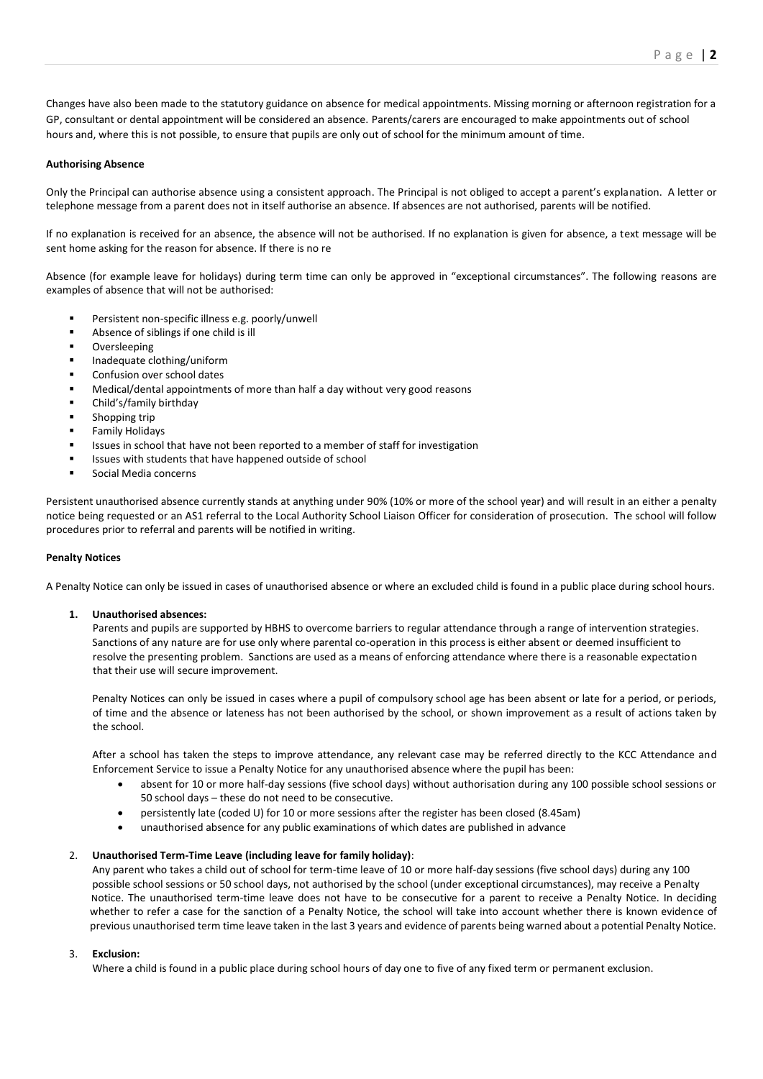Changes have also been made to the statutory guidance on absence for medical appointments. Missing morning or afternoon registration for a GP, consultant or dental appointment will be considered an absence. Parents/carers are encouraged to make appointments out of school hours and, where this is not possible, to ensure that pupils are only out of school for the minimum amount of time.

## **Authorising Absence**

Only the Principal can authorise absence using a consistent approach. The Principal is not obliged to accept a parent's explanation. A letter or telephone message from a parent does not in itself authorise an absence. If absences are not authorised, parents will be notified.

If no explanation is received for an absence, the absence will not be authorised. If no explanation is given for absence, a text message will be sent home asking for the reason for absence. If there is no re

Absence (for example leave for holidays) during term time can only be approved in "exceptional circumstances". The following reasons are examples of absence that will not be authorised:

- Persistent non-specific illness e.g. poorly/unwell
- Absence of siblings if one child is ill
- **Oversleeping**
- Inadequate clothing/uniform
- Confusion over school dates
- Medical/dental appointments of more than half a day without very good reasons
- Child's/family birthday
- Shopping trip
- **Family Holidays**
- Issues in school that have not been reported to a member of staff for investigation
- Issues with students that have happened outside of school
- Social Media concerns

Persistent unauthorised absence currently stands at anything under 90% (10% or more of the school year) and will result in an either a penalty notice being requested or an AS1 referral to the Local Authority School Liaison Officer for consideration of prosecution. The school will follow procedures prior to referral and parents will be notified in writing.

#### **Penalty Notices**

A Penalty Notice can only be issued in cases of unauthorised absence or where an excluded child is found in a public place during school hours.

#### **1. Unauthorised absences:**

 Parents and pupils are supported by HBHS to overcome barriers to regular attendance through a range of intervention strategies. Sanctions of any nature are for use only where parental co-operation in this process is either absent or deemed insufficient to resolve the presenting problem. Sanctions are used as a means of enforcing attendance where there is a reasonable expectation that their use will secure improvement.

Penalty Notices can only be issued in cases where a pupil of compulsory school age has been absent or late for a period, or periods, of time and the absence or lateness has not been authorised by the school, or shown improvement as a result of actions taken by the school.

After a school has taken the steps to improve attendance, any relevant case may be referred directly to the KCC Attendance and Enforcement Service to issue a Penalty Notice for any unauthorised absence where the pupil has been:

- absent for 10 or more half-day sessions (five school days) without authorisation during any 100 possible school sessions or 50 school days – these do not need to be consecutive.
- persistently late (coded U) for 10 or more sessions after the register has been closed (8.45am)
- unauthorised absence for any public examinations of which dates are published in advance

#### 2. **Unauthorised Term-Time Leave (including leave for family holiday)**:

Any parent who takes a child out of school for term-time leave of 10 or more half-day sessions (five school days) during any 100 possible school sessions or 50 school days, not authorised by the school (under exceptional circumstances), may receive a Penalty Notice. The unauthorised term-time leave does not have to be consecutive for a parent to receive a Penalty Notice. In deciding whether to refer a case for the sanction of a Penalty Notice, the school will take into account whether there is known evidence of previous unauthorised term time leave taken in the last 3 years and evidence of parents being warned about a potential Penalty Notice.

## 3. **Exclusion:**

Where a child is found in a public place during school hours of day one to five of any fixed term or permanent exclusion.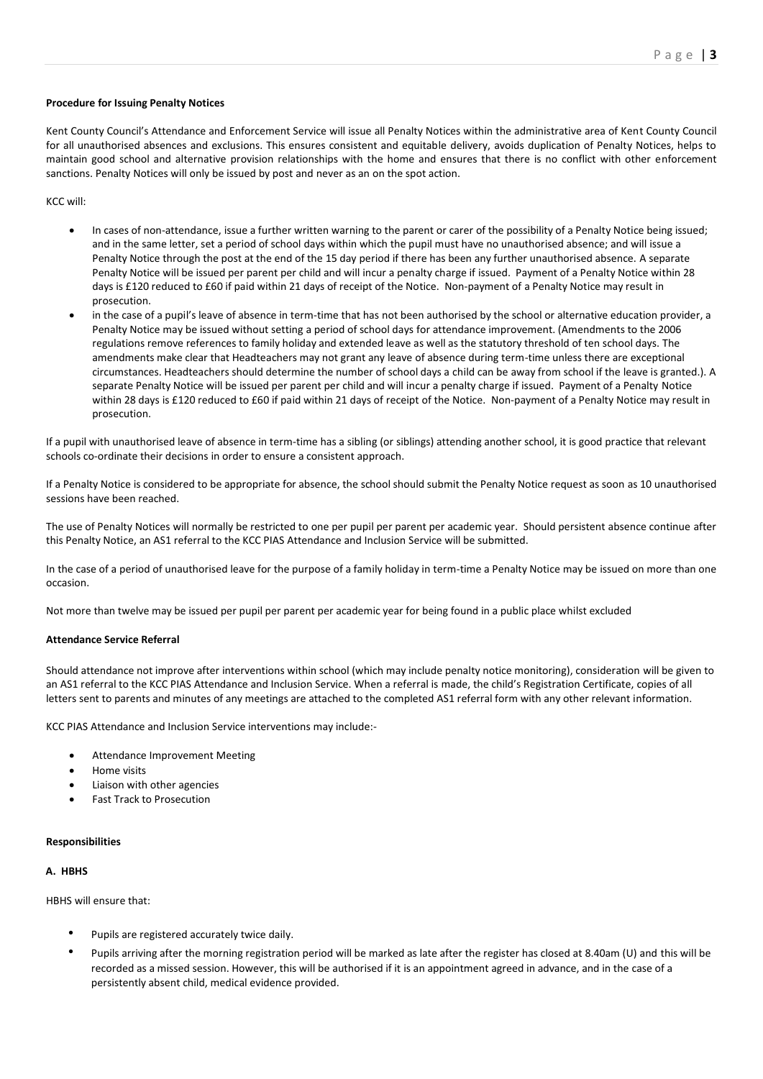## **Procedure for Issuing Penalty Notices**

Kent County Council's Attendance and Enforcement Service will issue all Penalty Notices within the administrative area of Kent County Council for all unauthorised absences and exclusions. This ensures consistent and equitable delivery, avoids duplication of Penalty Notices, helps to maintain good school and alternative provision relationships with the home and ensures that there is no conflict with other enforcement sanctions. Penalty Notices will only be issued by post and never as an on the spot action.

KCC will:

- In cases of non-attendance, issue a further written warning to the parent or carer of the possibility of a Penalty Notice being issued; and in the same letter, set a period of school days within which the pupil must have no unauthorised absence; and will issue a Penalty Notice through the post at the end of the 15 day period if there has been any further unauthorised absence. A separate Penalty Notice will be issued per parent per child and will incur a penalty charge if issued. Payment of a Penalty Notice within 28 days is £120 reduced to £60 if paid within 21 days of receipt of the Notice. Non-payment of a Penalty Notice may result in prosecution.
- in the case of a pupil's leave of absence in term-time that has not been authorised by the school or alternative education provider, a Penalty Notice may be issued without setting a period of school days for attendance improvement. (Amendments to the 2006 regulations remove references to family holiday and extended leave as well as the statutory threshold of ten school days. The amendments make clear that Headteachers may not grant any leave of absence during term-time unless there are exceptional circumstances. Headteachers should determine the number of school days a child can be away from school if the leave is granted.). A separate Penalty Notice will be issued per parent per child and will incur a penalty charge if issued. Payment of a Penalty Notice within 28 days is £120 reduced to £60 if paid within 21 days of receipt of the Notice. Non-payment of a Penalty Notice may result in prosecution.

If a pupil with unauthorised leave of absence in term-time has a sibling (or siblings) attending another school, it is good practice that relevant schools co-ordinate their decisions in order to ensure a consistent approach.

If a Penalty Notice is considered to be appropriate for absence, the school should submit the Penalty Notice request as soon as 10 unauthorised sessions have been reached.

The use of Penalty Notices will normally be restricted to one per pupil per parent per academic year. Should persistent absence continue after this Penalty Notice, an AS1 referral to the KCC PIAS Attendance and Inclusion Service will be submitted.

In the case of a period of unauthorised leave for the purpose of a family holiday in term-time a Penalty Notice may be issued on more than one occasion.

Not more than twelve may be issued per pupil per parent per academic year for being found in a public place whilst excluded

#### **Attendance Service Referral**

Should attendance not improve after interventions within school (which may include penalty notice monitoring), consideration will be given to an AS1 referral to the KCC PIAS Attendance and Inclusion Service. When a referral is made, the child's Registration Certificate, copies of all letters sent to parents and minutes of any meetings are attached to the completed AS1 referral form with any other relevant information.

KCC PIAS Attendance and Inclusion Service interventions may include:-

- Attendance Improvement Meeting
- Home visits
- Liaison with other agencies
- Fast Track to Prosecution

#### **Responsibilities**

# **A. HBHS**

HBHS will ensure that:

- Pupils are registered accurately twice daily.
- Pupils arriving after the morning registration period will be marked as late after the register has closed at 8.40am (U) and this will be recorded as a missed session. However, this will be authorised if it is an appointment agreed in advance, and in the case of a persistently absent child, medical evidence provided.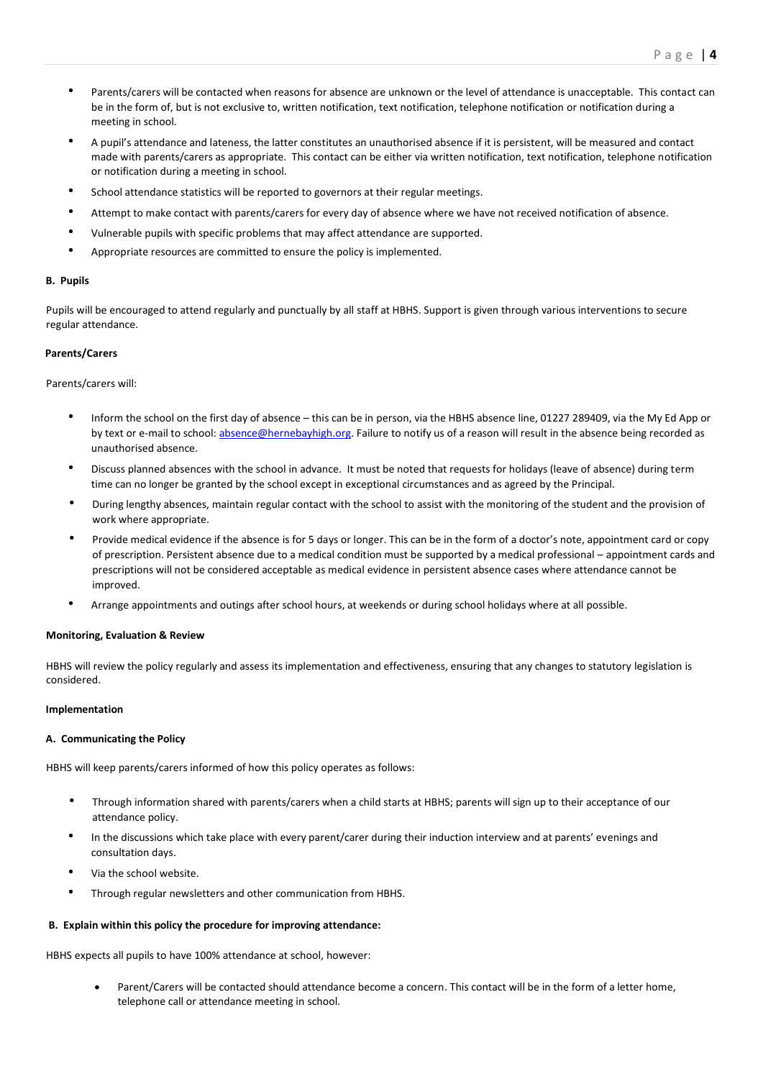- Parents/carers will be contacted when reasons for absence are unknown or the level of attendance is unacceptable. This contact can be in the form of, but is not exclusive to, written notification, text notification, telephone notification or notification during a meeting in school.
- A pupil's attendance and lateness, the latter constitutes an unauthorised absence if it is persistent, will be measured and contact made with parents/carers as appropriate. This contact can be either via written notification, text notification, telephone notification or notification during a meeting in school.
- School attendance statistics will be reported to governors at their regular meetings.
- Attempt to make contact with parents/carers for every day of absence where we have not received notification of absence.
- Vulnerable pupils with specific problems that may affect attendance are supported.
- Appropriate resources are committed to ensure the policy is implemented.

# **B. Pupils**

Pupils will be encouraged to attend regularly and punctually by all staff at HBHS. Support is given through various interventions to secure regular attendance.

# **Parents/Carers**

## Parents/carers will:

- Inform the school on the first day of absence this can be in person, via the HBHS absence line, 01227 289409, via the My Ed App or by text or e-mail to school: [absence@hernebayhigh.org.](mailto:absence@hernebayhigh.org) Failure to notify us of a reason will result in the absence being recorded as unauthorised absence.
- Discuss planned absences with the school in advance. It must be noted that requests for holidays (leave of absence) during term time can no longer be granted by the school except in exceptional circumstances and as agreed by the Principal.
- During lengthy absences, maintain regular contact with the school to assist with the monitoring of the student and the provision of work where appropriate.
- Provide medical evidence if the absence is for 5 days or longer. This can be in the form of a doctor's note, appointment card or copy of prescription. Persistent absence due to a medical condition must be supported by a medical professional – appointment cards and prescriptions will not be considered acceptable as medical evidence in persistent absence cases where attendance cannot be improved.
- Arrange appointments and outings after school hours, at weekends or during school holidays where at all possible.

# **Monitoring, Evaluation & Review**

HBHS will review the policy regularly and assess its implementation and effectiveness, ensuring that any changes to statutory legislation is considered.

## **Implementation**

#### **A. Communicating the Policy**

HBHS will keep parents/carers informed of how this policy operates as follows:

- Through information shared with parents/carers when a child starts at HBHS; parents will sign up to their acceptance of our attendance policy.
- In the discussions which take place with every parent/carer during their induction interview and at parents' evenings and consultation days.
- Via the school website.
- Through regular newsletters and other communication from HBHS.

# **B. Explain within this policy the procedure for improving attendance:**

HBHS expects all pupils to have 100% attendance at school, however:

• Parent/Carers will be contacted should attendance become a concern. This contact will be in the form of a letter home, telephone call or attendance meeting in school.